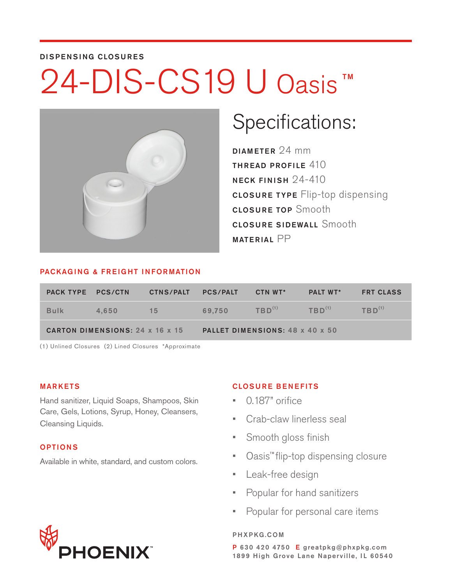### DISPENSING CLOSURES

# 24-DIS-CS19 U Oasis TM



# Specifications:

DIAMETER 24 mm THREAD PROFILE 410 NECK FINISH 24-410 CLOSURE TYPE Flip-top dispensing CLOSURE TOP Smooth **CLOSURE SIDEWALL Smooth** MATERIAL PP

#### PACKAGING & FREIGHT INFORMATION

| <b>PACK TYPE PCS/CTN.</b>              |       | <b>CTNS/PALT</b> | <b>PCS/PALT</b><br>CTN WT*      |             | <b>PALT WT*</b> | <b>FRT CLASS</b> |  |  |  |  |
|----------------------------------------|-------|------------------|---------------------------------|-------------|-----------------|------------------|--|--|--|--|
| <b>Bulk</b>                            | 4.650 | 15               | 69.750                          | $TBD^{(1)}$ | $TBD^{(1)}$     | $TBD^{(1)}$      |  |  |  |  |
| <b>CARTON DIMENSIONS: 24 x 16 x 15</b> |       |                  | PALLET DIMENSIONS: 48 x 40 x 50 |             |                 |                  |  |  |  |  |

(1) Unlined Closures (2) Lined Closures \*Approximate

### MARKETS

Hand sanitizer, Liquid Soaps, Shampoos, Skin Care, Gels, Lotions, Syrup, Honey, Cleansers, Cleansing Liquids.

## OPTIONS

Available in white, standard, and custom colors.

## CLOSURE BENEFITS

- 0.187" orifice
- Crab-claw linerless seal
- Smooth gloss finish
- Oasis<sup>™</sup> flip-top dispensing closure
- Leak-free design
- Popular for hand sanitizers
- Popular for personal care items

#### PHXPKG.COM



P 630 420 4750 E greatpkg@phxpkg.com 1899 High Grove Lane Naperville, IL 60540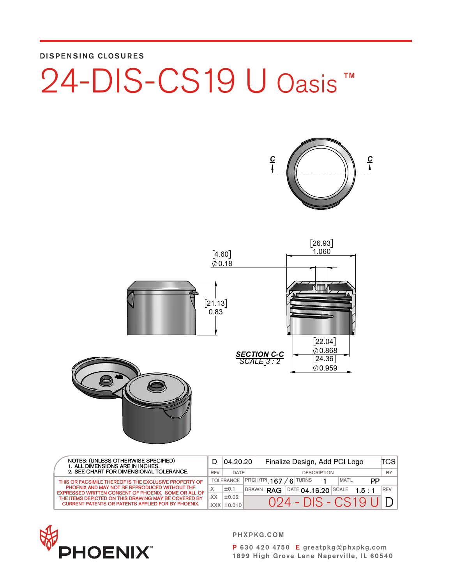DISPENSING CLOSURES









| NOTES: (UNLESS OTHERWISE SPECIFIED)<br>1. ALL DIMENSIONS ARE IN INCHES.                               |            | 04.20.20          |                    | Finalize Design, Add PCI Logo |  |  |                    |                                    | TCSI  |       |    |            |
|-------------------------------------------------------------------------------------------------------|------------|-------------------|--------------------|-------------------------------|--|--|--------------------|------------------------------------|-------|-------|----|------------|
| 2. SEE CHART FOR DIMENSIONAL TOLERANCE.                                                               | <b>REV</b> | DATE              | <b>DESCRIPTION</b> |                               |  |  |                    | BY                                 |       |       |    |            |
| THIS OR FACSIMILE THEREOF IS THE EXCLUSIVE PROPERTY OF                                                |            | <b>TOLERANCE</b>  | $ $ PITCH/TPI 167  |                               |  |  | $\mathsf{G}$ TURNS |                                    | MAT'L |       | PP |            |
| PHOENIX AND MAY NOT BE REPRODUCED WITHOUT THE<br>EXPRESSED WRITTEN CONSENT OF PHOENIX. SOME OR ALL OF |            | ±0.1              |                    | DRAWN RAG                     |  |  |                    | $\overline{)}$ DATE 04.16.20 SCALE |       | 1.5:1 |    | <b>REV</b> |
| THE ITEMS DEPICTED ON THIS DRAWING MAY BE COVERED BY                                                  | .XX        | ±0.02             |                    |                               |  |  |                    |                                    |       |       |    |            |
| <b>CURRENT PATENTS OR PATENTS APPLIED FOR BY PHOENIX.</b>                                             |            | $XXX$ $\pm$ 0.010 |                    |                               |  |  |                    | 024 - DIS - CS19 UI DI             |       |       |    |            |
|                                                                                                       |            |                   |                    |                               |  |  |                    |                                    |       |       |    |            |



PHXPKG.COM

P 630 420 4750 E greatpkg@phxpkg.com 1899 High Grove Lane Naperville, IL 60540